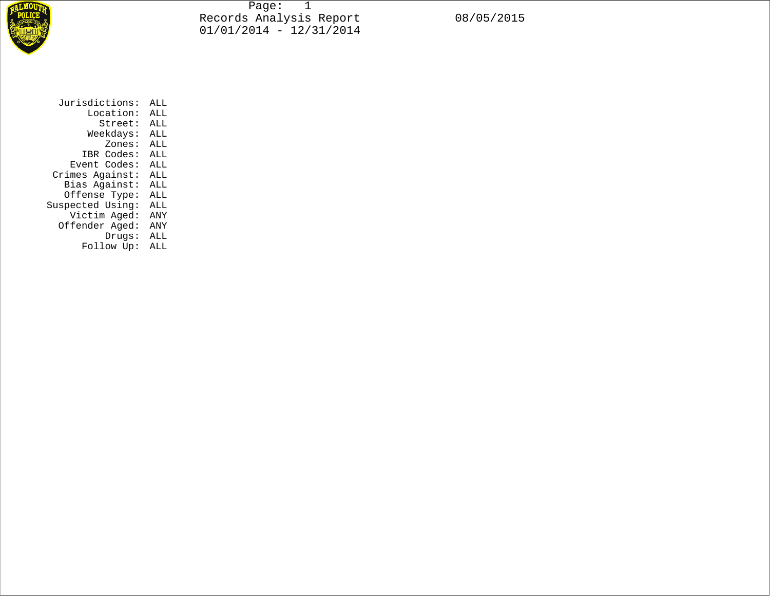

Page: 1 Records Analysis Report 08/05/2015 01/01/2014 - 12/31/2014

| Jurisdictions:   | ALL |
|------------------|-----|
| Location:        | ALL |
| Street:          | ALL |
| Weekdays:        | ALL |
| Zones:           | ALL |
| IBR Codes:       | ALL |
| Event Codes:     | ALL |
| Crimes Against:  | ALL |
| Bias Against:    | ALL |
| Offense Type:    | ALL |
| Suspected Using: | ALL |
| Victim Aged:     | ANY |
| Offender Aged:   | ANY |
| Drugs:           | ALL |
| Follow Up:       | ALL |